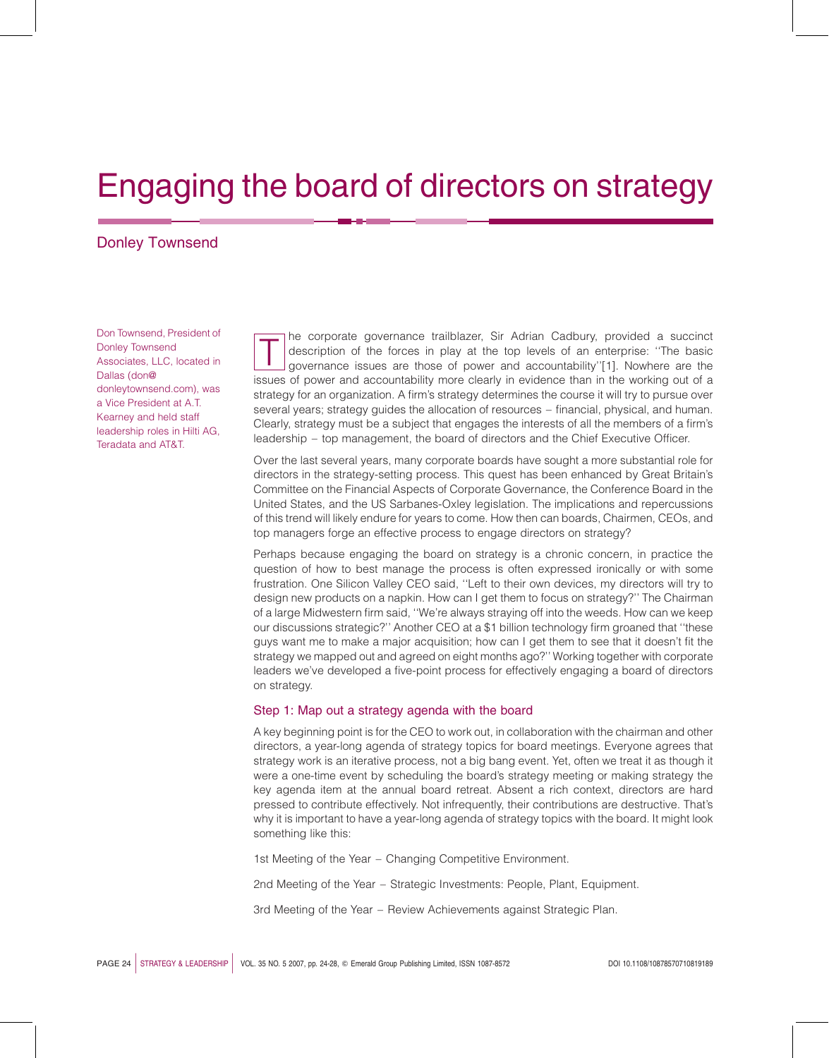# Engaging the board of directors on strategy

## Donley Townsend

Don Townsend, President of Donley Townsend Associates, LLC, located in Dallas (don@ donleytownsend.com), was a Vice President at A.T. Kearney and held staff leadership roles in Hilti AG, Teradata and AT&T.

The corporate governance trailblazer, Sir Adrian Cadbury, provided a succinct description of the forces in play at the top levels of an enterprise: "The basic governance issues are those of power and accountability"[1]. No description of the forces in play at the top levels of an enterprise: ''The basic issues of power and accountability more clearly in evidence than in the working out of a strategy for an organization. A firm's strategy determines the course it will try to pursue over several years; strategy guides the allocation of resources – financial, physical, and human. Clearly, strategy must be a subject that engages the interests of all the members of a firm's leadership – top management, the board of directors and the Chief Executive Officer.

Over the last several years, many corporate boards have sought a more substantial role for directors in the strategy-setting process. This quest has been enhanced by Great Britain's Committee on the Financial Aspects of Corporate Governance, the Conference Board in the United States, and the US Sarbanes-Oxley legislation. The implications and repercussions of this trend will likely endure for years to come. How then can boards, Chairmen, CEOs, and top managers forge an effective process to engage directors on strategy?

Perhaps because engaging the board on strategy is a chronic concern, in practice the question of how to best manage the process is often expressed ironically or with some frustration. One Silicon Valley CEO said, ''Left to their own devices, my directors will try to design new products on a napkin. How can I get them to focus on strategy?'' The Chairman of a large Midwestern firm said, ''We're always straying off into the weeds. How can we keep our discussions strategic?'' Another CEO at a \$1 billion technology firm groaned that ''these guys want me to make a major acquisition; how can I get them to see that it doesn't fit the strategy we mapped out and agreed on eight months ago?'' Working together with corporate leaders we've developed a five-point process for effectively engaging a board of directors on strategy.

### Step 1: Map out a strategy agenda with the board

A key beginning point is for the CEO to work out, in collaboration with the chairman and other directors, a year-long agenda of strategy topics for board meetings. Everyone agrees that strategy work is an iterative process, not a big bang event. Yet, often we treat it as though it were a one-time event by scheduling the board's strategy meeting or making strategy the key agenda item at the annual board retreat. Absent a rich context, directors are hard pressed to contribute effectively. Not infrequently, their contributions are destructive. That's why it is important to have a year-long agenda of strategy topics with the board. It might look something like this:

1st Meeting of the Year – Changing Competitive Environment.

2nd Meeting of the Year – Strategic Investments: People, Plant, Equipment.

3rd Meeting of the Year – Review Achievements against Strategic Plan.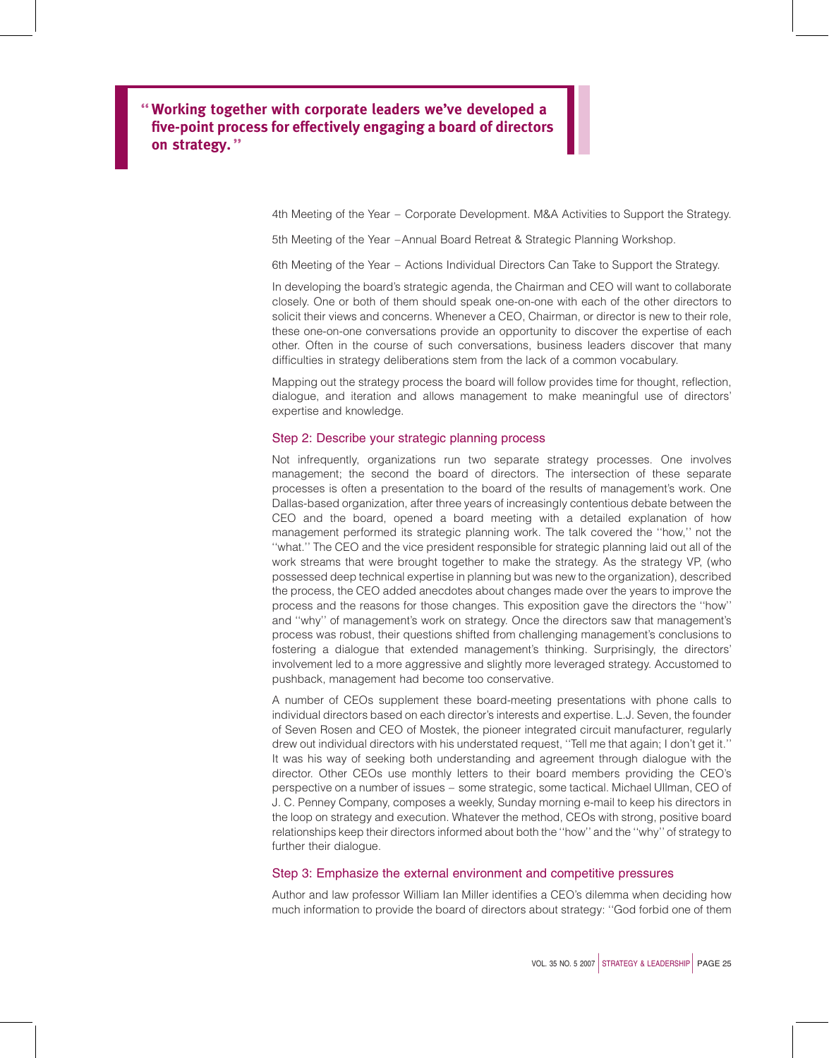'' Working together with corporate leaders we've developed a five-point process for effectively engaging a board of directors on strategy. ''

4th Meeting of the Year – Corporate Development. M&A Activities to Support the Strategy.

5th Meeting of the Year –Annual Board Retreat & Strategic Planning Workshop.

6th Meeting of the Year – Actions Individual Directors Can Take to Support the Strategy.

In developing the board's strategic agenda, the Chairman and CEO will want to collaborate closely. One or both of them should speak one-on-one with each of the other directors to solicit their views and concerns. Whenever a CEO, Chairman, or director is new to their role, these one-on-one conversations provide an opportunity to discover the expertise of each other. Often in the course of such conversations, business leaders discover that many difficulties in strategy deliberations stem from the lack of a common vocabulary.

Mapping out the strategy process the board will follow provides time for thought, reflection, dialogue, and iteration and allows management to make meaningful use of directors' expertise and knowledge.

## Step 2: Describe your strategic planning process

Not infrequently, organizations run two separate strategy processes. One involves management; the second the board of directors. The intersection of these separate processes is often a presentation to the board of the results of management's work. One Dallas-based organization, after three years of increasingly contentious debate between the CEO and the board, opened a board meeting with a detailed explanation of how management performed its strategic planning work. The talk covered the ''how,'' not the ''what.'' The CEO and the vice president responsible for strategic planning laid out all of the work streams that were brought together to make the strategy. As the strategy VP, (who possessed deep technical expertise in planning but was new to the organization), described the process, the CEO added anecdotes about changes made over the years to improve the process and the reasons for those changes. This exposition gave the directors the ''how'' and ''why'' of management's work on strategy. Once the directors saw that management's process was robust, their questions shifted from challenging management's conclusions to fostering a dialogue that extended management's thinking. Surprisingly, the directors' involvement led to a more aggressive and slightly more leveraged strategy. Accustomed to pushback, management had become too conservative.

A number of CEOs supplement these board-meeting presentations with phone calls to individual directors based on each director's interests and expertise. L.J. Seven, the founder of Seven Rosen and CEO of Mostek, the pioneer integrated circuit manufacturer, regularly drew out individual directors with his understated request, ''Tell me that again; I don't get it.'' It was his way of seeking both understanding and agreement through dialogue with the director. Other CEOs use monthly letters to their board members providing the CEO's perspective on a number of issues – some strategic, some tactical. Michael Ullman, CEO of J. C. Penney Company, composes a weekly, Sunday morning e-mail to keep his directors in the loop on strategy and execution. Whatever the method, CEOs with strong, positive board relationships keep their directors informed about both the ''how'' and the ''why'' of strategy to further their dialogue.

## Step 3: Emphasize the external environment and competitive pressures

Author and law professor William Ian Miller identifies a CEO's dilemma when deciding how much information to provide the board of directors about strategy: ''God forbid one of them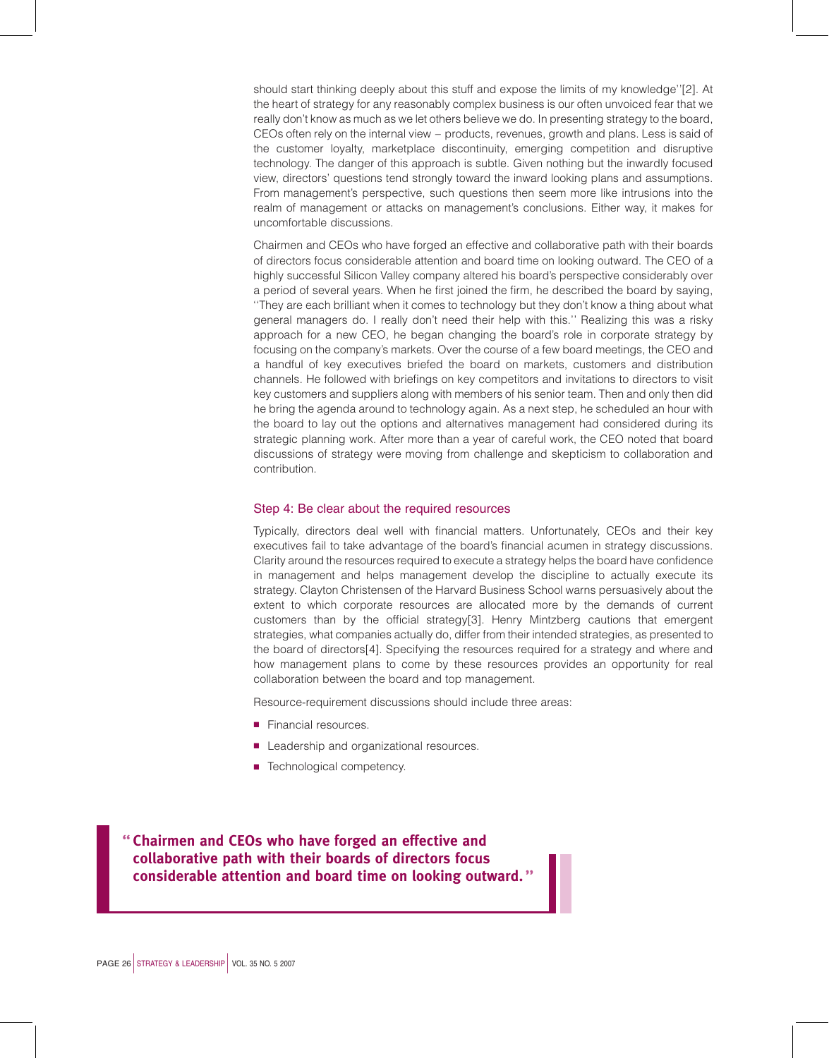should start thinking deeply about this stuff and expose the limits of my knowledge''[2]. At the heart of strategy for any reasonably complex business is our often unvoiced fear that we really don't know as much as we let others believe we do. In presenting strategy to the board, CEOs often rely on the internal view – products, revenues, growth and plans. Less is said of the customer loyalty, marketplace discontinuity, emerging competition and disruptive technology. The danger of this approach is subtle. Given nothing but the inwardly focused view, directors' questions tend strongly toward the inward looking plans and assumptions. From management's perspective, such questions then seem more like intrusions into the realm of management or attacks on management's conclusions. Either way, it makes for uncomfortable discussions.

Chairmen and CEOs who have forged an effective and collaborative path with their boards of directors focus considerable attention and board time on looking outward. The CEO of a highly successful Silicon Valley company altered his board's perspective considerably over a period of several years. When he first joined the firm, he described the board by saying, ''They are each brilliant when it comes to technology but they don't know a thing about what general managers do. I really don't need their help with this.'' Realizing this was a risky approach for a new CEO, he began changing the board's role in corporate strategy by focusing on the company's markets. Over the course of a few board meetings, the CEO and a handful of key executives briefed the board on markets, customers and distribution channels. He followed with briefings on key competitors and invitations to directors to visit key customers and suppliers along with members of his senior team. Then and only then did he bring the agenda around to technology again. As a next step, he scheduled an hour with the board to lay out the options and alternatives management had considered during its strategic planning work. After more than a year of careful work, the CEO noted that board discussions of strategy were moving from challenge and skepticism to collaboration and contribution.

## Step 4: Be clear about the required resources

Typically, directors deal well with financial matters. Unfortunately, CEOs and their key executives fail to take advantage of the board's financial acumen in strategy discussions. Clarity around the resources required to execute a strategy helps the board have confidence in management and helps management develop the discipline to actually execute its strategy. Clayton Christensen of the Harvard Business School warns persuasively about the extent to which corporate resources are allocated more by the demands of current customers than by the official strategy[3]. Henry Mintzberg cautions that emergent strategies, what companies actually do, differ from their intended strategies, as presented to the board of directors[4]. Specifying the resources required for a strategy and where and how management plans to come by these resources provides an opportunity for real collaboration between the board and top management.

Resource-requirement discussions should include three areas:

- $\blacksquare$  Financial resources.
- **E** Leadership and organizational resources.
- **B** Technological competency.

'' Chairmen and CEOs who have forged an effective and collaborative path with their boards of directors focus considerable attention and board time on looking outward. ''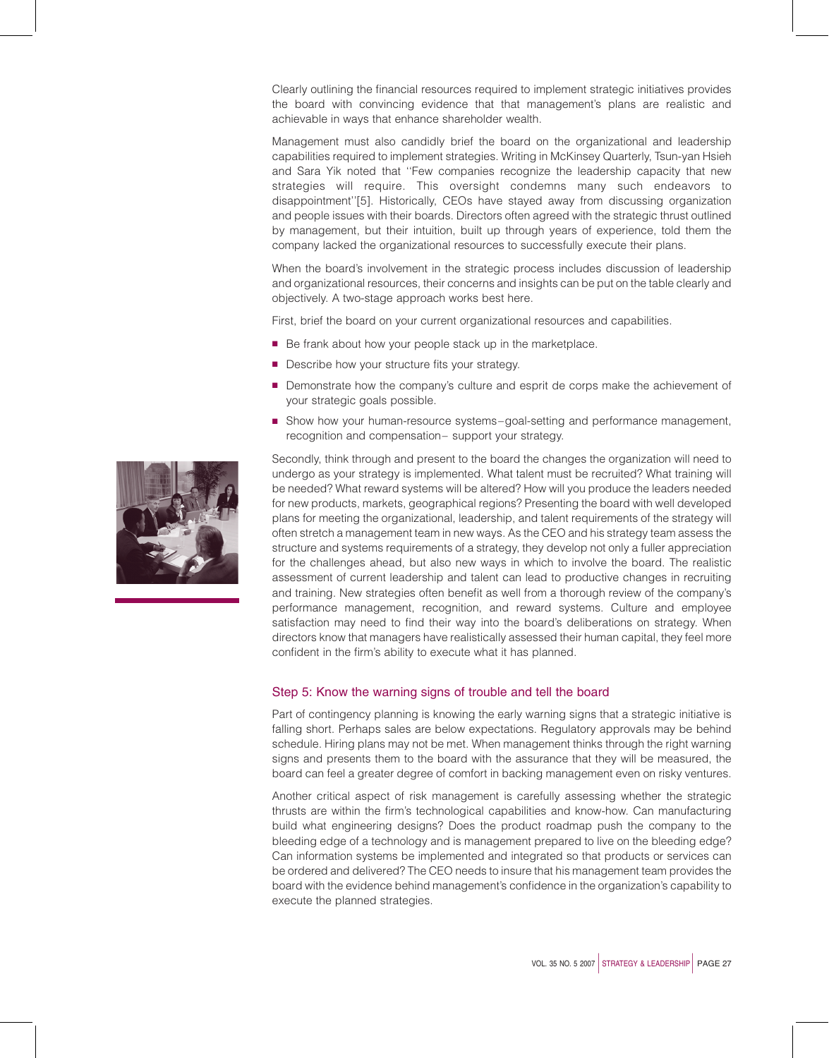Clearly outlining the financial resources required to implement strategic initiatives provides the board with convincing evidence that that management's plans are realistic and achievable in ways that enhance shareholder wealth.

Management must also candidly brief the board on the organizational and leadership capabilities required to implement strategies. Writing in McKinsey Quarterly, Tsun-yan Hsieh and Sara Yik noted that ''Few companies recognize the leadership capacity that new strategies will require. This oversight condemns many such endeavors to disappointment''[5]. Historically, CEOs have stayed away from discussing organization and people issues with their boards. Directors often agreed with the strategic thrust outlined by management, but their intuition, built up through years of experience, told them the company lacked the organizational resources to successfully execute their plans.

When the board's involvement in the strategic process includes discussion of leadership and organizational resources, their concerns and insights can be put on the table clearly and objectively. A two-stage approach works best here.

First, brief the board on your current organizational resources and capabilities.

- $\blacksquare$  Be frank about how your people stack up in the marketplace.
- **B** Describe how your structure fits your strategy.
- **B** Demonstrate how the company's culture and esprit de corps make the achievement of your strategic goals possible.
- **B** Show how your human-resource systems–goal-setting and performance management, recognition and compensation– support your strategy.



Secondly, think through and present to the board the changes the organization will need to undergo as your strategy is implemented. What talent must be recruited? What training will be needed? What reward systems will be altered? How will you produce the leaders needed for new products, markets, geographical regions? Presenting the board with well developed plans for meeting the organizational, leadership, and talent requirements of the strategy will often stretch a management team in new ways. As the CEO and his strategy team assess the structure and systems requirements of a strategy, they develop not only a fuller appreciation for the challenges ahead, but also new ways in which to involve the board. The realistic assessment of current leadership and talent can lead to productive changes in recruiting and training. New strategies often benefit as well from a thorough review of the company's performance management, recognition, and reward systems. Culture and employee satisfaction may need to find their way into the board's deliberations on strategy. When directors know that managers have realistically assessed their human capital, they feel more confident in the firm's ability to execute what it has planned.

## Step 5: Know the warning signs of trouble and tell the board

Part of contingency planning is knowing the early warning signs that a strategic initiative is falling short. Perhaps sales are below expectations. Regulatory approvals may be behind schedule. Hiring plans may not be met. When management thinks through the right warning signs and presents them to the board with the assurance that they will be measured, the board can feel a greater degree of comfort in backing management even on risky ventures.

Another critical aspect of risk management is carefully assessing whether the strategic thrusts are within the firm's technological capabilities and know-how. Can manufacturing build what engineering designs? Does the product roadmap push the company to the bleeding edge of a technology and is management prepared to live on the bleeding edge? Can information systems be implemented and integrated so that products or services can be ordered and delivered? The CEO needs to insure that his management team provides the board with the evidence behind management's confidence in the organization's capability to execute the planned strategies.